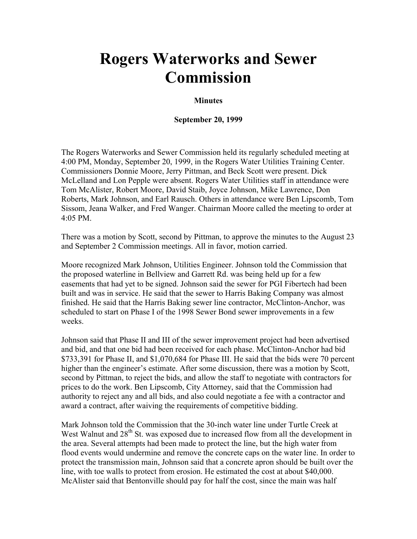## **Rogers Waterworks and Sewer Commission**

## **Minutes**

## **September 20, 1999**

The Rogers Waterworks and Sewer Commission held its regularly scheduled meeting at 4:00 PM, Monday, September 20, 1999, in the Rogers Water Utilities Training Center. Commissioners Donnie Moore, Jerry Pittman, and Beck Scott were present. Dick McLelland and Lon Pepple were absent. Rogers Water Utilities staff in attendance were Tom McAlister, Robert Moore, David Staib, Joyce Johnson, Mike Lawrence, Don Roberts, Mark Johnson, and Earl Rausch. Others in attendance were Ben Lipscomb, Tom Sissom, Jeana Walker, and Fred Wanger. Chairman Moore called the meeting to order at 4:05 PM.

There was a motion by Scott, second by Pittman, to approve the minutes to the August 23 and September 2 Commission meetings. All in favor, motion carried.

Moore recognized Mark Johnson, Utilities Engineer. Johnson told the Commission that the proposed waterline in Bellview and Garrett Rd. was being held up for a few easements that had yet to be signed. Johnson said the sewer for PGI Fibertech had been built and was in service. He said that the sewer to Harris Baking Company was almost finished. He said that the Harris Baking sewer line contractor, McClinton-Anchor, was scheduled to start on Phase I of the 1998 Sewer Bond sewer improvements in a few weeks.

Johnson said that Phase II and III of the sewer improvement project had been advertised and bid, and that one bid had been received for each phase. McClinton-Anchor had bid \$733,391 for Phase II, and \$1,070,684 for Phase III. He said that the bids were 70 percent higher than the engineer's estimate. After some discussion, there was a motion by Scott, second by Pittman, to reject the bids, and allow the staff to negotiate with contractors for prices to do the work. Ben Lipscomb, City Attorney, said that the Commission had authority to reject any and all bids, and also could negotiate a fee with a contractor and award a contract, after waiving the requirements of competitive bidding.

Mark Johnson told the Commission that the 30-inch water line under Turtle Creek at West Walnut and  $28<sup>th</sup>$  St. was exposed due to increased flow from all the development in the area. Several attempts had been made to protect the line, but the high water from flood events would undermine and remove the concrete caps on the water line. In order to protect the transmission main, Johnson said that a concrete apron should be built over the line, with toe walls to protect from erosion. He estimated the cost at about \$40,000. McAlister said that Bentonville should pay for half the cost, since the main was half